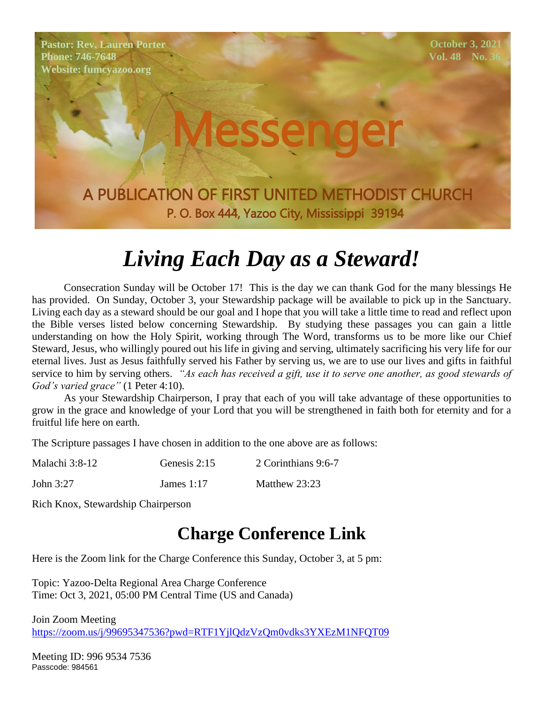**Pastor: Rev. Lauren Porter Phone: 746-7648 Website: fumcyazoo.org**

**October 3, 2021 Vol. 48 No. 3** 

A PUBLICATION OF FIRST UNITED METHODIST CHURCH P. O. Box 444, Yazoo City, Mississippi 39194

Messenger

## *Living Each Day as a Steward!*

Consecration Sunday will be October 17! This is the day we can thank God for the many blessings He has provided. On Sunday, October 3, your Stewardship package will be available to pick up in the Sanctuary. Living each day as a steward should be our goal and I hope that you will take a little time to read and reflect upon the Bible verses listed below concerning Stewardship. By studying these passages you can gain a little understanding on how the Holy Spirit, working through The Word, transforms us to be more like our Chief Steward, Jesus, who willingly poured out his life in giving and serving, ultimately sacrificing his very life for our eternal lives. Just as Jesus faithfully served his Father by serving us, we are to use our lives and gifts in faithful service to him by serving others. *"As each has received a gift, use it to serve one another, as good stewards of God's varied grace"* (1 Peter 4:10).

As your Stewardship Chairperson, I pray that each of you will take advantage of these opportunities to grow in the grace and knowledge of your Lord that you will be strengthened in faith both for eternity and for a fruitful life here on earth.

The Scripture passages I have chosen in addition to the one above are as follows:

| Malachi 3:8-12 | Genesis 2:15 | 2 Corinthians 9:6-7 |
|----------------|--------------|---------------------|
|                |              |                     |

John 3:27 James 1:17 Matthew 23:23

Rich Knox, Stewardship Chairperson

#### **Charge Conference Link**

Here is the Zoom link for the Charge Conference this Sunday, October 3, at 5 pm:

Topic: Yazoo-Delta Regional Area Charge Conference Time: Oct 3, 2021, 05:00 PM Central Time (US and Canada)

Join Zoom Meeting <https://zoom.us/j/99695347536?pwd=RTF1YjlQdzVzQm0vdks3YXEzM1NFQT09>

Meeting ID: 996 9534 7536 Passcode: 984561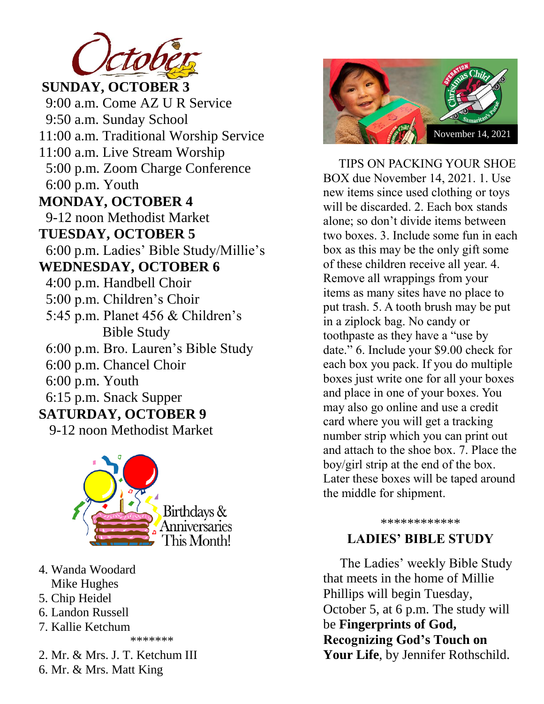

**SUNDAY, OCTOBER 3** 9:00 a.m. Come AZ U R Service 9-12 noon Methodist Market **TUESDAY, OCTOBER 5** 6:00 p.m. Ladies' Bible Study/Millie's 9:50 a.m. Sunday School 11:00 a.m. Traditional Worship Service 11:00 a.m. Live Stream Worship 5:00 p.m. Zoom Charge Conference 6:00 p.m. Youth **MONDAY, OCTOBER 4 WEDNESDAY, OCTOBER 6** 4:00 p.m. Handbell Choir 5:00 p.m. Children's Choir 5:45 p.m. Planet 456 & Children's Bible Study 6:00 p.m. Bro. Lauren's Bible Study 6:00 p.m. Chancel Choir 6:00 p.m. Youth 6:15 p.m. Snack Supper **SATURDAY, OCTOBER 9** 9-12 noon Methodist Market



- 4. Wanda Woodard
- Mike Hughes
- 5. Chip Heidel
- 6. Landon Russell
- 7. Kallie Ketchum

\*\*\*\*\*\*\*

2. Mr. & Mrs. J. T. Ketchum III 6. Mr. & Mrs. Matt King



 TIPS ON PACKING YOUR SHOE BOX due November 14, 2021. 1. Use new items since used clothing or toys will be discarded. 2. Each box stands alone; so don't divide items between two boxes. 3. Include some fun in each box as this may be the only gift some of these children receive all year. 4. Remove all wrappings from your items as many sites have no place to put trash. 5. A tooth brush may be put in a ziplock bag. No candy or toothpaste as they have a "use by date." 6. Include your \$9.00 check for each box you pack. If you do multiple boxes just write one for all your boxes and place in one of your boxes. You may also go online and use a credit card where you will get a tracking number strip which you can print out and attach to the shoe box. 7. Place the boy/girl strip at the end of the box. Later these boxes will be taped around the middle for shipment.

\*\*\*\*\*\*\*\*\*\*\*\*

#### **LADIES' BIBLE STUDY**

The Ladies' weekly Bible Study that meets in the home of Millie Phillips will begin Tuesday, October 5, at 6 p.m. The study will be **Fingerprints of God, Recognizing God's Touch on Your Life**, by Jennifer Rothschild.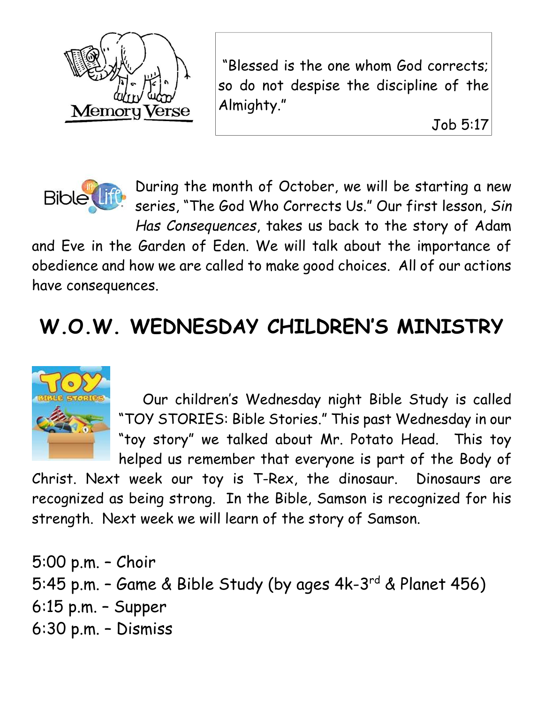

"Blessed is the one whom God corrects; so do not despise the discipline of the Almighty."

Job 5:17



During the month of October, we will be starting a new series, "The God Who Corrects Us." Our first lesson, *Sin Has Consequences*, takes us back to the story of Adam

and Eve in the Garden of Eden. We will talk about the importance of obedience and how we are called to make good choices. All of our actions have consequences.

# **W.O.W. WEDNESDAY CHILDREN'S MINISTRY**



 Our children's Wednesday night Bible Study is called "TOY STORIES: Bible Stories." This past Wednesday in our "toy story" we talked about Mr. Potato Head. This toy helped us remember that everyone is part of the Body of

Christ. Next week our toy is T-Rex, the dinosaur. Dinosaurs are recognized as being strong. In the Bible, Samson is recognized for his strength. Next week we will learn of the story of Samson.

5:00 p.m. – Choir 5:45 p.m. - Game & Bible Study (by ages 4k-3<sup>rd</sup> & Planet 456) 6:15 p.m. – Supper 6:30 p.m. – Dismiss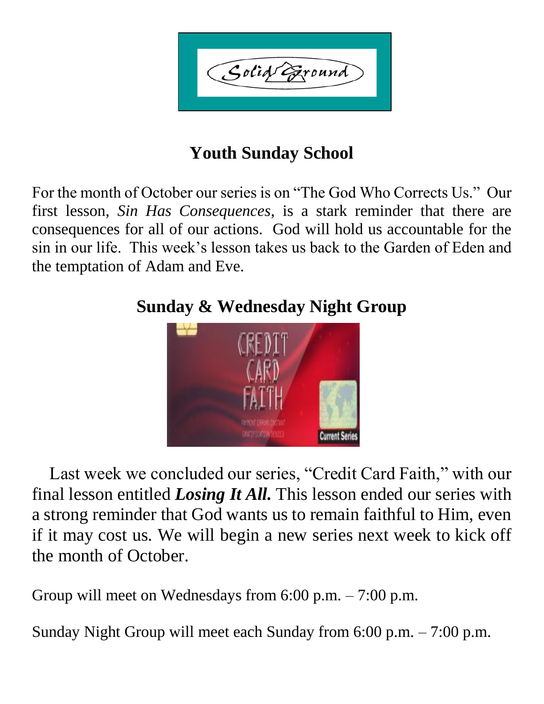Golid Exound

## **Youth Sunday School**

For the month of October our series is on "The God Who Corrects Us." Our first lesson, *Sin Has Consequences*, is a stark reminder that there are consequences for all of our actions. God will hold us accountable for the sin in our life. This week's lesson takes us back to the Garden of Eden and the temptation of Adam and Eve.



### **Sunday & Wednesday Night Group**

 Last week we concluded our series, "Credit Card Faith," with our final lesson entitled *Losing It All.* This lesson ended our series with a strong reminder that God wants us to remain faithful to Him, even if it may cost us. We will begin a new series next week to kick off the month of October.

Group will meet on Wednesdays from 6:00 p.m. – 7:00 p.m.

Sunday Night Group will meet each Sunday from 6:00 p.m. – 7:00 p.m.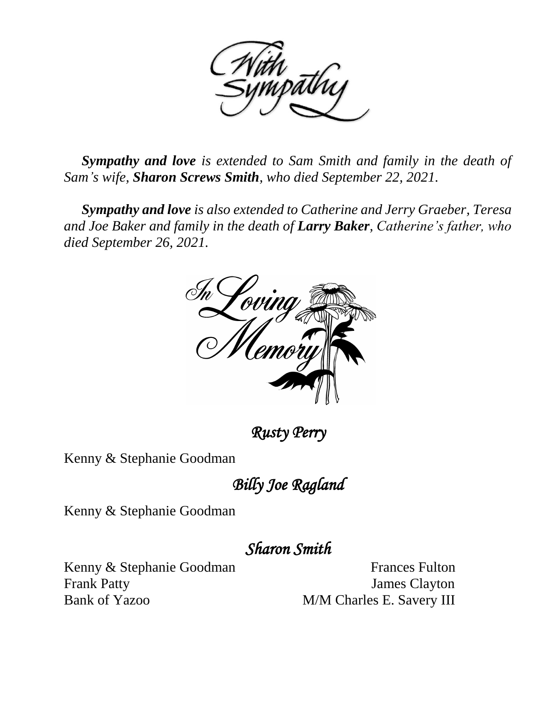

 *Sympathy and love is extended to Sam Smith and family in the death of Sam's wife, Sharon Screws Smith, who died September 22, 2021.*

 *Sympathy and love is also extended to Catherine and Jerry Graeber, Teresa and Joe Baker and family in the death of Larry Baker, Catherine's father, who died September 26, 2021.*



*Rusty Perry* 

Kenny & Stephanie Goodman

*Billy Joe Ragland* 

Kenny & Stephanie Goodman

*Sharon Smith* 

Kenny & Stephanie Goodman Frances Fulton Frank Patty James Clayton Bank of Yazoo M/M Charles E. Savery III